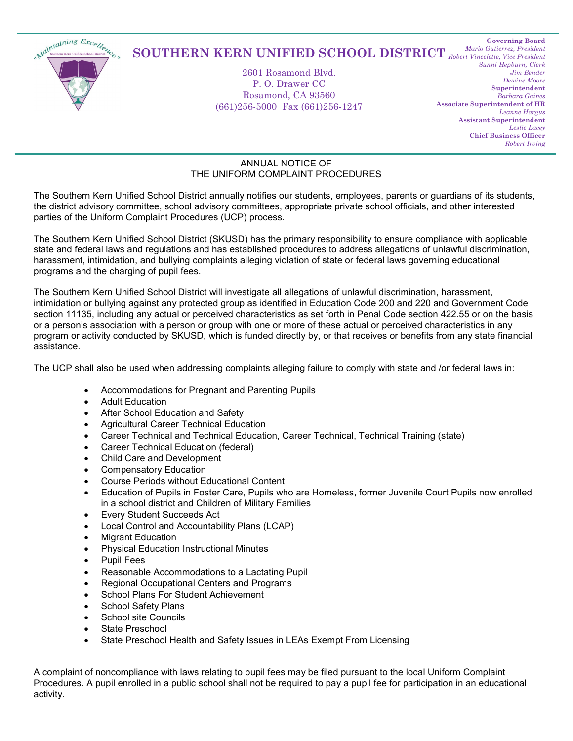

## *Robert Vincelette, Vice President* **SOUTHERN KERN UNIFIED SCHOOL DISTRICT**

2601 Rosamond Blvd. P. O. Drawer CC Rosamond, CA 93560 (661)256-5000 Fax (661)256-1247

**Governing Board** *Mario Gutierrez, President Sunni Hepburn, Clerk Jim Bender Dewine Moore* **Superintendent** *Barbara Gaines* **Associate Superintendent of HR** *Leanne Hargus* **Assistant Superintendent** *Leslie Lacey* **Chief Business Officer** *Robert Irving*

## ANNUAL NOTICE OF THE UNIFORM COMPLAINT PROCEDURES

The Southern Kern Unified School District annually notifies our students, employees, parents or guardians of its students, the district advisory committee, school advisory committees, appropriate private school officials, and other interested parties of the Uniform Complaint Procedures (UCP) process.

The Southern Kern Unified School District (SKUSD) has the primary responsibility to ensure compliance with applicable state and federal laws and regulations and has established procedures to address allegations of unlawful discrimination, harassment, intimidation, and bullying complaints alleging violation of state or federal laws governing educational programs and the charging of pupil fees.

The Southern Kern Unified School District will investigate all allegations of unlawful discrimination, harassment, intimidation or bullying against any protected group as identified in Education Code 200 and 220 and Government Code section 11135, including any actual or perceived characteristics as set forth in Penal Code section 422.55 or on the basis or a person's association with a person or group with one or more of these actual or perceived characteristics in any program or activity conducted by SKUSD, which is funded directly by, or that receives or benefits from any state financial assistance.

The UCP shall also be used when addressing complaints alleging failure to comply with state and /or federal laws in:

- Accommodations for Pregnant and Parenting Pupils
- Adult Education
- After School Education and Safety
- Agricultural Career Technical Education
- Career Technical and Technical Education, Career Technical, Technical Training (state)
- Career Technical Education (federal)
- Child Care and Development
- Compensatory Education
- Course Periods without Educational Content
- Education of Pupils in Foster Care, Pupils who are Homeless, former Juvenile Court Pupils now enrolled in a school district and Children of Military Families
- Every Student Succeeds Act
- Local Control and Accountability Plans (LCAP)
- **Migrant Education**
- Physical Education Instructional Minutes
- Pupil Fees
- Reasonable Accommodations to a Lactating Pupil
- Regional Occupational Centers and Programs
- School Plans For Student Achievement
- School Safety Plans
- School site Councils
- State Preschool
- State Preschool Health and Safety Issues in LEAs Exempt From Licensing

A complaint of noncompliance with laws relating to pupil fees may be filed pursuant to the local Uniform Complaint Procedures. A pupil enrolled in a public school shall not be required to pay a pupil fee for participation in an educational activity.